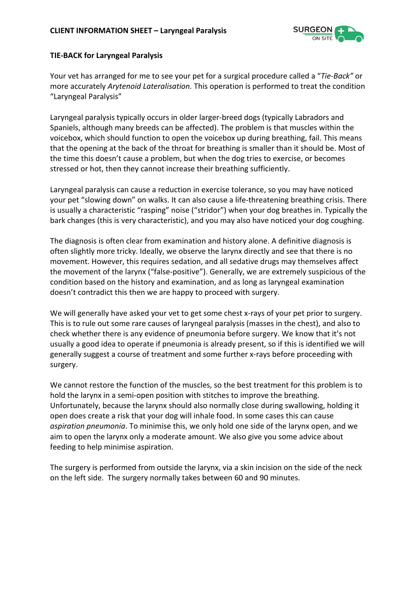

## **TIE-BACK for Laryngeal Paralysis**

Your vet has arranged for me to see your pet for a surgical procedure called a "*Tie-Back"* or more accurately *Arytenoid Lateralisation.* This operation is performed to treat the condition "Laryngeal Paralysis"

Laryngeal paralysis typically occurs in older larger-breed dogs (typically Labradors and Spaniels, although many breeds can be affected). The problem is that muscles within the voicebox, which should function to open the voicebox up during breathing, fail. This means that the opening at the back of the throat for breathing is smaller than it should be. Most of the time this doesn't cause a problem, but when the dog tries to exercise, or becomes stressed or hot, then they cannot increase their breathing sufficiently.

Laryngeal paralysis can cause a reduction in exercise tolerance, so you may have noticed your pet "slowing down" on walks. It can also cause a life-threatening breathing crisis. There is usually a characteristic "rasping" noise ("stridor") when your dog breathes in. Typically the bark changes (this is very characteristic), and you may also have noticed your dog coughing.

The diagnosis is often clear from examination and history alone. A definitive diagnosis is often slightly more tricky. Ideally, we observe the larynx directly and see that there is no movement. However, this requires sedation, and all sedative drugs may themselves affect the movement of the larynx ("false-positive"). Generally, we are extremely suspicious of the condition based on the history and examination, and as long as laryngeal examination doesn't contradict this then we are happy to proceed with surgery.

We will generally have asked your vet to get some chest x-rays of your pet prior to surgery. This is to rule out some rare causes of laryngeal paralysis (masses in the chest), and also to check whether there is any evidence of pneumonia before surgery. We know that it's not usually a good idea to operate if pneumonia is already present, so if this is identified we will generally suggest a course of treatment and some further x-rays before proceeding with surgery.

We cannot restore the function of the muscles, so the best treatment for this problem is to hold the larynx in a semi-open position with stitches to improve the breathing. Unfortunately, because the larynx should also normally close during swallowing, holding it open does create a risk that your dog will inhale food. In some cases this can cause *aspiration pneumonia*. To minimise this, we only hold one side of the larynx open, and we aim to open the larynx only a moderate amount. We also give you some advice about feeding to help minimise aspiration.

The surgery is performed from outside the larynx, via a skin incision on the side of the neck on the left side. The surgery normally takes between 60 and 90 minutes.